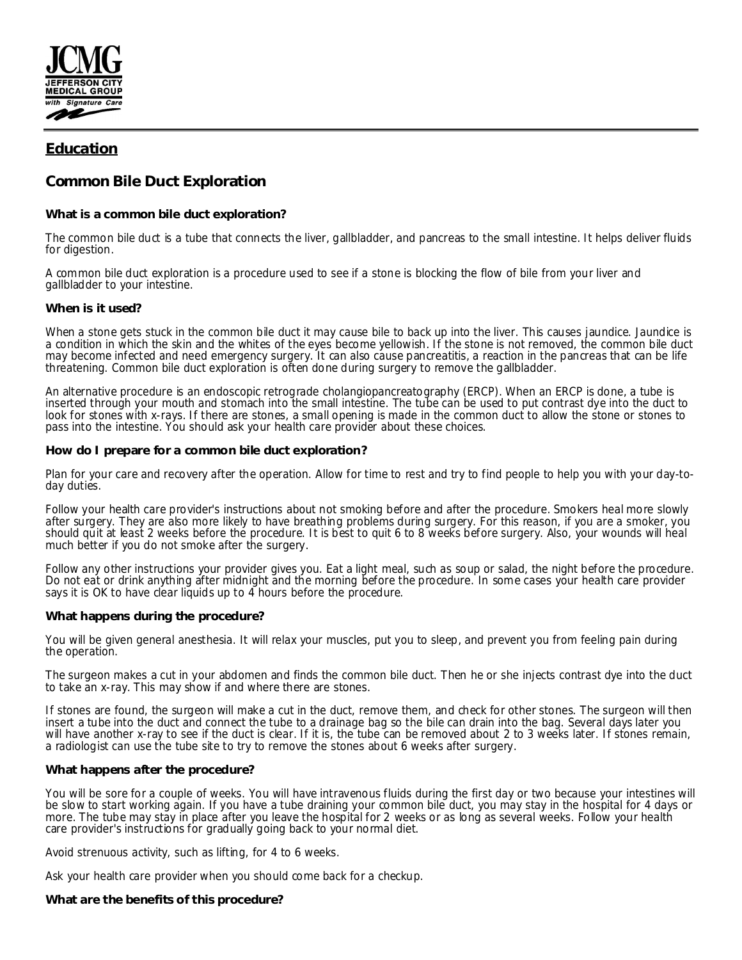

# **Education**

# **Common Bile Duct Exploration**

**What is a common bile duct exploration?**

The common bile duct is a tube that connects the liver, gallbladder, and pancreas to the small intestine. It helps deliver fluids for digestion.

A common bile duct exploration is a procedure used to see if a stone is blocking the flow of bile from your liver and gallbladder to your intestine.

# **When is it used?**

When a stone gets stuck in the common bile duct it may cause bile to back up into the liver. This causes jaundice. Jaundice is a condition in which the skin and the whites of the eyes become yellowish. If the stone is not removed, the common bile duct may become infected and need emergency surgery. It can also cause pancreatitis, a reaction in the pancreas that can be life threatening. Common bile duct exploration is often done during surgery to remove the gallbladder.

An alternative procedure is an endoscopic retrograde cholangiopancreatography (ERCP). When an ERCP is done, a tube is inserted through your mouth and stomach into the small intestine. The tube can be used to put contrast dye into the duct to look for stones with x-rays. If there are stones, a small opening is made in the common duct to allow the stone or stones to pass into the intestine. You should ask your health care provider about these choices.

#### **How do I prepare for a common bile duct exploration?**

Plan for your care and recovery after the operation. Allow for time to rest and try to find people to help you with your day-today duties.

Follow your health care provider's instructions about not smoking before and after the procedure. Smokers heal more slowly after surgery. They are also more likely to have breathing problems during surgery. For this reason, if you are a smoker, you should quit at least 2 weeks before the procedure. It is best to quit 6 to 8 weeks before surgery. Also, your wounds will heal much better if you do not smoke after the surgery.

Follow any other instructions your provider gives you. Eat a light meal, such as soup or salad, the night before the procedure. Do not eat or drink anything after midnight and the morning before the procedure. In some cases your health care provider says it is OK to have clear liquids up to 4 hours before the procedure.

# **What happens during the procedure?**

You will be given general anesthesia. It will relax your muscles, put you to sleep, and prevent you from feeling pain during the operation.

The surgeon makes a cut in your abdomen and finds the common bile duct. Then he or she injects contrast dye into the duct to take an x-ray. This may show if and where there are stones.

If stones are found, the surgeon will make a cut in the duct, remove them, and check for other stones. The surgeon will then insert a tube into the duct and connect the tube to a drainage bag so the bile can drain into the bag. Several days later you will have another x-ray to see if the duct is clear. If it is, the tube can be removed about 2 to 3 weeks later. If stones remain, a radiologist can use the tube site to try to remove the stones about 6 weeks after surgery.

# **What happens after the procedure?**

You will be sore for a couple of weeks. You will have intravenous fluids during the first day or two because your intestines will be slow to start working again. If you have a tube draining your common bile duct, you may stay in the hospital for 4 days or more. The tube may stay in place after you leave the hospital for 2 weeks or as long as several weeks. Follow your health care provider's instructions for gradually going back to your normal diet.

Avoid strenuous activity, such as lifting, for 4 to 6 weeks.

Ask your health care provider when you should come back for a checkup.

**What are the benefits of this procedure?**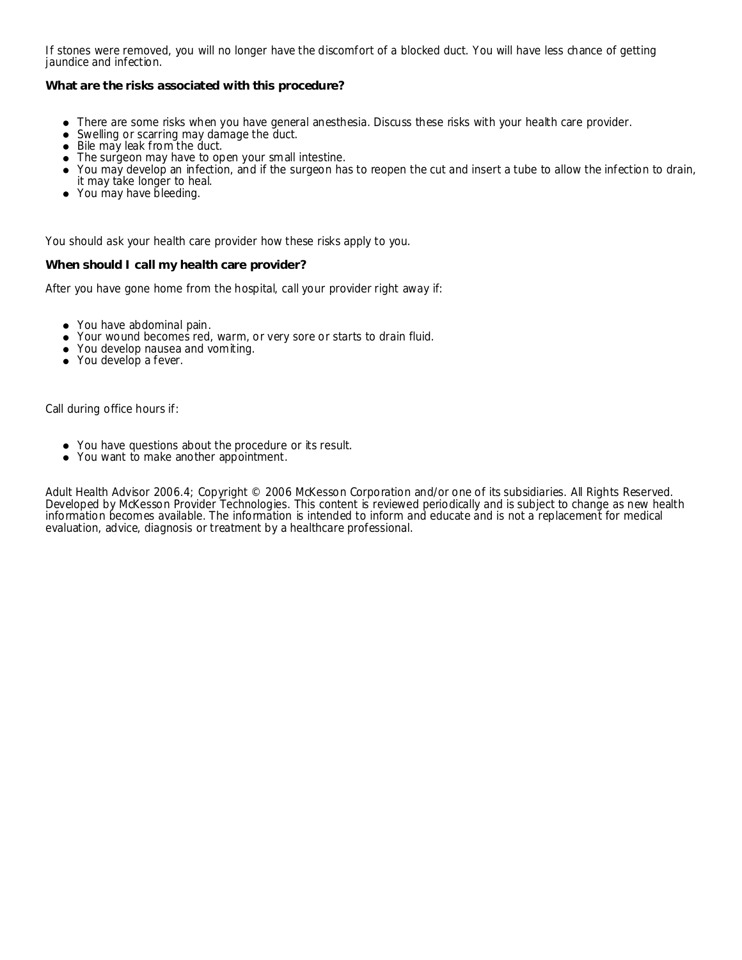If stones were removed, you will no longer have the discomfort of a blocked duct. You will have less chance of getting jaundice and infection.

**What are the risks associated with this procedure?**

- There are some risks when you have general anesthesia. Discuss these risks with your health care provider.
- $\bullet$ Swelling or scarring may damage the duct.
- Bile may leak from the duct.
- The surgeon may have to open your small intestine.
- You may develop an infection, and if the surgeon has to reopen the cut and insert a tube to allow the infection to drain,
- it may take longer to heal.
- You may have bleeding.

You should ask your health care provider how these risks apply to you.

**When should I call my health care provider?**

After you have gone home from the hospital, call your provider right away if:

- You have abdominal pain.
- Your wound becomes red, warm, or very sore or starts to drain fluid.
- You develop nausea and vomiting.
- You develop a fever.

Call during office hours if:

- You have questions about the procedure or its result.
- You want to make another appointment.

Adult Health Advisor 2006.4; Copyright © 2006 McKesson Corporation and/or one of its subsidiaries. All Rights Reserved. Developed by McKesson Provider Technologies. This content is reviewed periodically and is subject to change as new health information becomes available. The information is intended to inform and educate and is not a replacement for medical evaluation, advice, diagnosis or treatment by a healthcare professional.